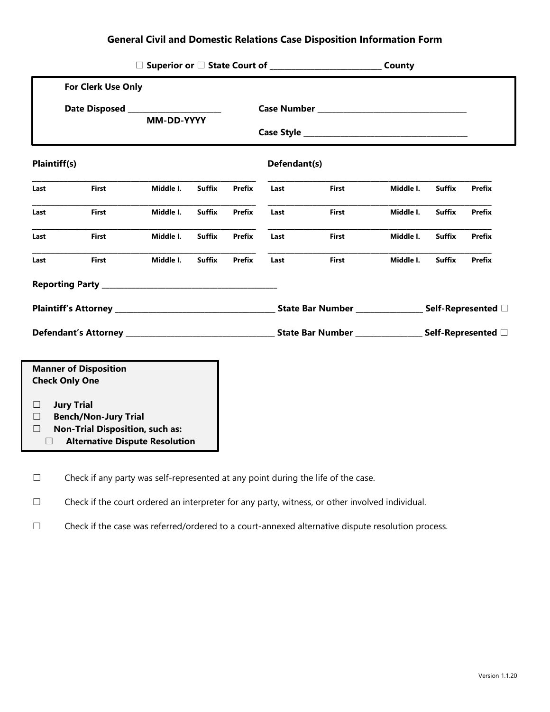|                                                                                           | For Clerk Use Only |            |               |                                                             |      |              |           |               |               |
|-------------------------------------------------------------------------------------------|--------------------|------------|---------------|-------------------------------------------------------------|------|--------------|-----------|---------------|---------------|
|                                                                                           |                    |            |               |                                                             |      |              |           |               |               |
|                                                                                           |                    | MM-DD-YYYY |               |                                                             |      |              |           |               |               |
|                                                                                           |                    |            |               |                                                             |      |              |           |               |               |
| <b>Plaintiff(s)</b>                                                                       |                    |            |               | Defendant(s)                                                |      |              |           |               |               |
| Last                                                                                      | First              | Middle I.  | <b>Suffix</b> | <b>Prefix</b>                                               | Last | <b>First</b> | Middle I. | <b>Suffix</b> | <b>Prefix</b> |
| Last                                                                                      | First              | Middle I.  | <b>Suffix</b> | <b>Prefix</b>                                               | Last | First        | Middle I. | <b>Suffix</b> | <b>Prefix</b> |
| Last                                                                                      | <b>First</b>       | Middle I.  | <b>Suffix</b> | Prefix                                                      | Last | First        | Middle I. | <b>Suffix</b> | <b>Prefix</b> |
| Last                                                                                      | <b>First</b>       | Middle I.  | <b>Suffix</b> | <b>Prefix</b>                                               | Last | <b>First</b> | Middle I. | <b>Suffix</b> | <b>Prefix</b> |
|                                                                                           |                    |            |               |                                                             |      |              |           |               |               |
|                                                                                           |                    |            |               | State Bar Number _______________________ Self-Represented □ |      |              |           |               |               |
|                                                                                           |                    |            |               |                                                             |      |              |           |               |               |
|                                                                                           |                    |            |               |                                                             |      |              |           |               |               |
| <b>Manner of Disposition</b><br><b>Check Only One</b>                                     |                    |            |               |                                                             |      |              |           |               |               |
|                                                                                           |                    |            |               |                                                             |      |              |           |               |               |
| <b>Jury Trial</b><br>$\Box$                                                               |                    |            |               |                                                             |      |              |           |               |               |
| <b>Bench/Non-Jury Trial</b><br>Ш                                                          |                    |            |               |                                                             |      |              |           |               |               |
| <b>Non-Trial Disposition, such as:</b><br>П<br><b>Alternative Dispute Resolution</b><br>⊔ |                    |            |               |                                                             |      |              |           |               |               |
|                                                                                           |                    |            |               |                                                             |      |              |           |               |               |

☐ Check if any party was self-represented at any point during the life of the case.

☐ Check if the court ordered an interpreter for any party, witness, or other involved individual.

☐ Check if the case was referred/ordered to a court-annexed alternative dispute resolution process.